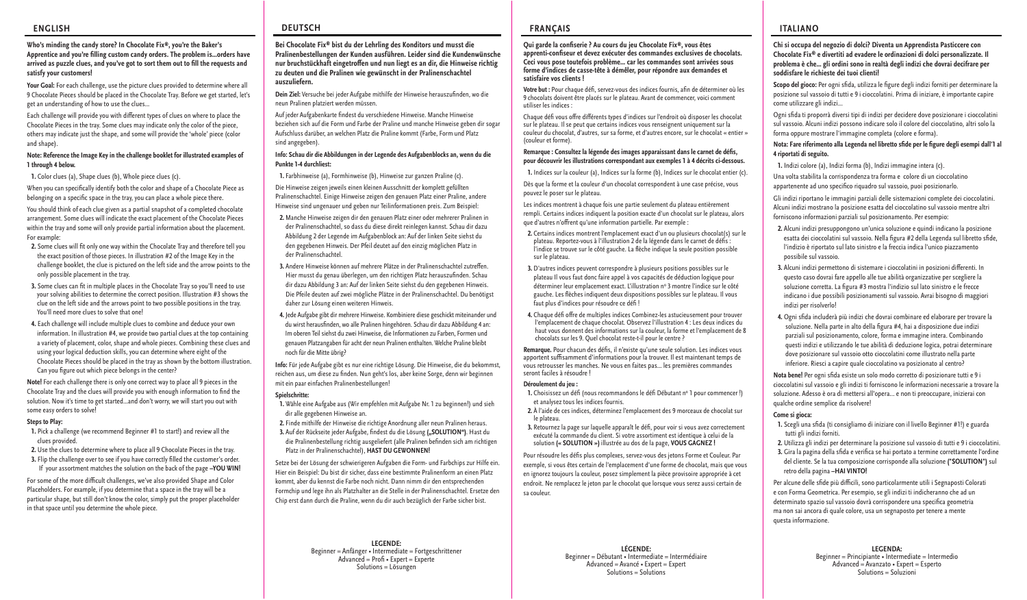## **ENGLISH**

#### **Who's minding the candy store? In Chocolate Fix®, you're the Baker's**  Apprentice and you're filling custom candy orders. The problem is...orders have arrived as puzzle clues, and you've got to sort them out to fill the requests and **satisfy your customers!**

Your Goal: For each challenge, use the picture clues provided to determine where all 9 Chocolate Pieces should be placed in the Chocolate Tray. Before we get started, let's get an understanding of how to use the clues…

Each challenge will provide you with different types of clues on where to place the Chocolate Pieces in the tray. Some clues may indicate only the color of the piece, others may indicate just the shape, and some will provide the 'whole' piece (color and shape).

#### **Note: Reference the Image Key in the challenge booklet for illustrated examples of 1 through 4 below.**

**1.** Color clues (a), Shape clues (b), Whole piece clues (c).

When you can specifically identify both the color and shape of a Chocolate Piece as belonging on a specific space in the tray, you can place a whole piece there.

You should think of each clue given as a partial snapshot of a completed chocolate arrangement. Some clues will indicate the exact placement of the Chocolate Pieces within the tray and some will only provide partial information about the placement. For example:

- **2.** Some clues will fit only one way within the Chocolate Tray and therefore tell you the exact position of those pieces. In illustration #2 of the Image Key in the challenge booklet, the clue is pictured on the left side and the arrow points to the only possible placement in the tray.
- **3.** Some clues can fit in multiple places in the Chocolate Tray so you'll need to use your solving abilities to determine the correct position. Illustration #3 shows the clue on the left side and the arrows point to two possible positions in the tray. You'll need more clues to solve that one!
- **4.** Each challenge will include multiple clues to combine and deduce your own information. In illustration #4, we provide two partial clues at the top containing a variety of placement, color, shape and whole pieces. Combining these clues and using your logical deduction skills, you can determine where eight of the Chocolate Pieces should be placed in the tray as shown by the bottom illustration. Can you figure out which piece belongs in the center?

**Note!** For each challenge there is only one correct way to place all 9 pieces in the Chocolate Tray and the clues will provide you with enough information to find the solution. Now it's time to get started…and don't worry, we will start you out with some easy orders to solve!

## **Steps to Play:**

**1.** Pick a challenge (we recommend Beginner #1 to start!) and review all the clues provided.

**2.** Use the clues to determine where to place all 9 Chocolate Pieces in the tray. **3.** Flip the challenge over to see if you have correctly filled the customer's order. If your assortment matches the solution on the back of the page **–YOU WIN!**

For some of the more difficult challenges, we've also provided Shape and Color Placeholders. For example, if you determine that a space in the tray will be a particular shape, but still don't know the color, simply put the proper placeholder in that space until you determine the whole piece.

# **DEUTSCH**

#### **Bei Chocolate Fix® bist du der Lehrling des Konditors und musst die Pralinenbestellungen der Kunden ausführen. Leider sind die Kundenwünsche**  nur bruchstückhaft eingetroffen und nun liegt es an dir, die Hinweise richtig **zu deuten und die Pralinen wie gewünscht in der Pralinenschachtel auszuliefern.**

Dein Ziel: Versuche bei jeder Aufgabe mithilfe der Hinweise herauszufinden, wo die neun Pralinen platziert werden müssen.

Auf jeder Aufgabenkarte findest du verschiedene Hinweise. Manche Hinweise beziehen sich auf die Form und Farbe der Praline und manche Hinweise geben dir sogar Aufschluss darüber, an welchen Platz die Praline kommt (Farbe, Form und Platz sind angegeben).

#### **Info: Schau dir die Abbildungen in der Legende des Aufgabenblocks an, wenn du die Punkte 1-4 durchliest:**

**1.** Farbhinweise (a), Formhinweise (b), Hinweise zur ganzen Praline (c). Die Hinweise zeigen jeweils einen kleinen Ausschnitt der komplett gefüllten Pralinenschachtel. Einige Hinweise zeigen den genauen Platz einer Praline, andere Hinweise sind ungenauer und geben nur Teilinformationen preis. Zum Beispiel:

- **2.** Manche Hinweise zeigen dir den genauen Platz einer oder mehrerer Pralinen in der Pralinenschachtel, so dass du diese direkt reinlegen kannst. Schau dir dazu Abbildung 2 der Legende im Aufgabenblock an: Auf der linken Seite siehst du den gegebenen Hinweis. Der Pfeil deutet auf den einzig möglichen Platz in der Pralinenschachtel.
- 3. Andere Hinweise können auf mehrere Plätze in der Pralinenschachtel zutreffen. Hier musst du genau überlegen, um den richtigen Platz herauszufinden. Schau dir dazu Abbildung 3 an: Auf der linken Seite siehst du den gegebenen Hinweis. Die Pfeile deuten auf zwei mögliche Plätze in der Pralinenschachtel. Du benötigst daher zur Lösung einen weiteren Hinweis.
- **4.** Jede Aufgabe gibt dir mehrere Hinweise. Kombiniere diese geschickt miteinander und du wirst herausfinden, wo alle Pralinen hingehören. Schau dir dazu Abbildung 4 an: Im oberen Teil siehst du zwei Hinweise, die Informationen zu Farben, Formen und genauen Platzangaben für acht der neun Pralinen enthalten. Welche Praline bleibt noch für die Mitte übrig?

**Info:** Für jede Aufgabe gibt es nur eine richtige Lösung. Die Hinweise, die du bekommst, reichen aus, um diese zu finden. Nun geht's los, aber keine Sorge, denn wir beginnen mit ein paar einfachen Pralinenbestellungen!

#### **Spielschritte:**

- **1.** Wähle eine Aufgabe aus (Wir empfehlen mit Aufgabe Nr. 1 zu beginnen!) und sieh dir alle gegebenen Hinweise an.
- **2.** Finde mithilfe der Hinweise die richtige Anordnung aller neun Pralinen heraus. 3. Auf der Rückseite jeder Aufgabe, findest du die Lösung ("SOLUTION"). Hast du die Pralinenbestellung richtig ausgeliefert (alle Pralinen befinden sich am richtigen
- Platz in der Pralinenschachtel), **HAST DU GEWONNEN!**

Setze bei der Lösung der schwierigeren Aufgaben die Form- und Farbchips zur Hilfe ein. Hier ein Beispiel: Du bist dir sicher, dass eine bestimmte Pralinenform an einen Platz kommt, aber du kennst die Farbe noch nicht. Dann nimm dir den entsprechenden Formchip und lege ihn als Platzhalter an die Stelle in der Pralinenschachtel. Ersetze den Chip erst dann durch die Praline, wenn du dir auch bezüglich der Farbe sicher bist.

> **LEGENDE:** Beginner = Anfänger • Intermediate = Fortgeschrittener  $Advanced = Prof \cdot Expert = Expert$ Solutions = Lösungen

# **FRANÇAIS**

#### Qui garde la confiserie ? Au cours du jeu Chocolate Fix®, vous êtes apprenti-confiseur et devez exécuter des commandes exclusives de chocolats. **Ceci vous pose toutefois problème… car les commandes sont arrivées sous forme d'indices de casse-tête à démêler, pour répondre aux demandes et satisfaire vos clients !**

Votre but : Pour chaque défi, servez-vous des indices fournis, afin de déterminer où les 9 chocolats doivent être placés sur le plateau. Avant de commencer, voici comment utiliser les indices :

Chaque défi vous offre différents types d'indices sur l'endroit où disposer les chocolat sur le plateau. Il se peut que certains indices vous renseignent uniquement sur la couleur du chocolat, d'autres, sur sa forme, et d'autres encore, sur le chocolat « entier » (couleur et forme).

## Remarque : Consultez la légende des images apparaissant dans le carnet de défis. **pour découvrir les illustrations correspondant aux exemples 1 à 4 décrits ci-dessous.**

**1.** Indices sur la couleur (a), Indices sur la forme (b), Indices sur le chocolat entier (c).

Dès que la forme et la couleur d'un chocolat correspondent à une case précise, vous pouvez le poser sur le plateau.

Les indices montrent à chaque fois une partie seulement du plateau entièrement rempli. Certains indices indiquent la position exacte d'un chocolat sur le plateau, alors que d'autres n'offrent qu'une information partielle. Par exemple :

- **2.** Certains indices montrent l'emplacement exact d'un ou plusieurs chocolat(s) sur le plateau. Reportez-vous à l'illustration 2 de la légende dans le carnet de défis : l'indice se trouve sur le côté gauche. La flèche indique la seule position possible sur le plateau.
- **3.** D'autres indices peuvent correspondre à plusieurs positions possibles sur le plateau Il vous faut donc faire appel à vos capacités de déduction logique pour déterminer leur emplacement exact. L'illustration nº 3 montre l'indice sur le côté gauche. Les flèches indiquent deux dispositions possibles sur le plateau. Il vous faut plus d'indices pour résoudre ce défi!
- 4. Chaque défi offre de multiples indices Combinez-les astucieusement pour trouver l'emplacement de chaque chocolat. Observez l'illustration 4 : Les deux indices du haut vous donnent des informations sur la couleur, la forme et l'emplacement de 8 chocolats sur les 9. Quel chocolat reste-t-il pour le centre ?

Remarque. Pour chacun des défis, il n'existe qu'une seule solution. Les indices vous apportent suffisamment d'informations pour la trouver. Il est maintenant temps de vous retrousser les manches. Ne vous en faites pas… les premières commandes seront faciles à résoudre !

#### **Déroulement du jeu :**

- 1. Choisissez un défi (nous recommandons le défi Débutant nº 1 pour commencer!) et analysez tous les indices fournis.
- **2.** À l'aide de ces indices, déterminez l'emplacement des 9 morceaux de chocolat sur le plateau.
- **3.** Retournez la page sur laquelle apparaît le défi, pour voir si vous avez correctement exécuté la commande du client. Si votre assortiment est identique à celui de la solution **(« SOLUTION »)** illustrée au dos de la page, **VOUS GAGNEZ !**

Pour résoudre les défis plus complexes, servez-vous des jetons Forme et Couleur. Par exemple, si vous êtes certain de l'emplacement d'une forme de chocolat, mais que vous en ignorez toujours la couleur, posez simplement la pièce provisoire appropriée à cet endroit. Ne remplacez le jeton par le chocolat que lorsque vous serez aussi certain de sa couleur.

> **LÉGENDE:** Beginner = Débutant • Intermediate = Intermédiaire Advanced = Avancé • Expert = Expert Solutions = Solutions

# **ITALIANO**

**Chi si occupa del negozio di dolci? Diventa un Apprendista Pasticcere con Chocolate Fix® e divertiti ad evadere le ordinazioni di dolci personalizzate. Il problema è che… gli ordini sono in realtà degli indizi che dovrai decifrare per soddisfare le richieste dei tuoi clienti!**

Scopo del gioco: Per ogni sfida, utilizza le figure degli indizi forniti per determinare la posizione sul vassoio di tutti e 9 i cioccolatini. Prima di iniziare, è importante capire come utilizzare gli indizi...

Ogni sfida ti proporrà diversi tipi di indizi per decidere dove posizionare i cioccolatini sul vassoio. Alcuni indizi possono indicare solo il colore del cioccolatino, altri solo la forma oppure mostrare l'immagine completa (colore e forma).

## Nota: Fare riferimento alla Legenda nel libretto sfide per le figure degli esempi dall'1 al **4 riportati di seguito.**

**1.** Indizi colore (a), Indizi forma (b), Indizi immagine intera (c). Una volta stabilita la corrispondenza tra forma e colore di un cioccolatino appartenente ad uno specifico riquadro sul vassoio, puoi posizionarlo.

Gli indizi riportano le immagini parziali delle sistemazioni complete dei cioccolatini. Alcuni indizi mostrano la posizione esatta del cioccolatino sul vassoio mentre altri forniscono informazioni parziali sul posizionamento. Per esempio:

- **2.** Alcuni indizi presuppongono un'unica soluzione e quindi indicano la posizione esatta dei cioccolatini sul vassoio. Nella figura #2 della Legenda sul libretto sfide, l'indizio è riportato sul lato sinistro e la freccia indica l'unico piazzamento possibile sul vassoio.
- 3. Alcuni indizi permettono di sistemare i cioccolatini in posizioni differenti. In questo caso dovrai fare appello alle tue abilità organizzative per scegliere la soluzione corretta. La figura #3 mostra l'indizio sul lato sinistro e le frecce indicano i due possibili posizionamenti sul vassoio. Avrai bisogno di maggiori indizi per risolverlo!
- **4.** Ogni sda includerà più indizi che dovrai combinare ed elaborare per trovare la soluzione. Nella parte in alto della figura #4, hai a disposizione due indizi parziali sul posizionamento, colore, forma e immagine intera. Combinando questi indizi e utilizzando le tue abilità di deduzione logica, potrai determinare dove posizionare sul vassoio otto cioccolatini come illustrato nella parte inferiore. Riesci a capire quale cioccolatino va posizionato al centro?

Nota bene! Per ogni sfida esiste un solo modo corretto di posizionare tutti e 9 i cioccolatini sul vassoio e gli indizi ti forniscono le informazioni necessarie a trovare la soluzione. Adesso è ora di mettersi all'opera... e non ti preoccupare, inizierai con qualche ordine semplice da risolvere!

## **Come si gioca:**

- 1. Scegli una sfida (ti consigliamo di iniziare con il livello Beginner #1!) e guarda tutti gli indizi forniti.
- **2.** Utilizza gli indizi per determinare la posizione sul vassoio di tutti e 9 i cioccolatini.
- 3. Gira la pagina della sfida e verifica se hai portato a termine correttamente l'ordine del cliente. Se la tua composizione corrisponde alla soluzione **("SOLUTION")** sul retro della pagina **–HAI VINTO!**

Per alcune delle sfide più difficili, sono particolarmente utili i Segnaposti Colorati e con Forma Geometrica. Per esempio, se gli indizi ti indicheranno che ad un determinato spazio sul vassoio dovrà corrispondere una specifica geometria ma non sai ancora di quale colore, usa un segnaposto per tenere a mente questa informazione.

> **LEGENDA:** Beginner = Principiante • Intermediate = Intermedio Advanced = Avanzato • Expert = Esperto Solutions = Soluzioni